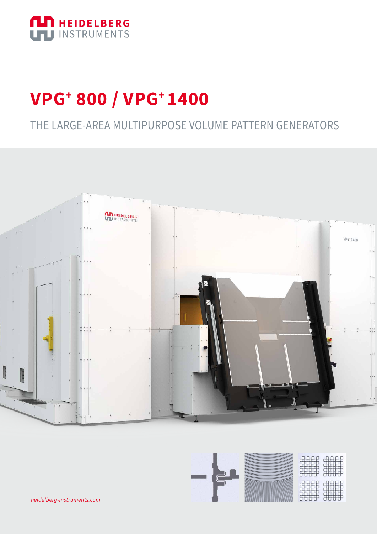

# **VPG+ 800 / VPG+ 1400**

### THE LARGE-AREA MULTIPURPOSE VOLUME PATTERN GENERATORS





*heidelberg-instruments.com*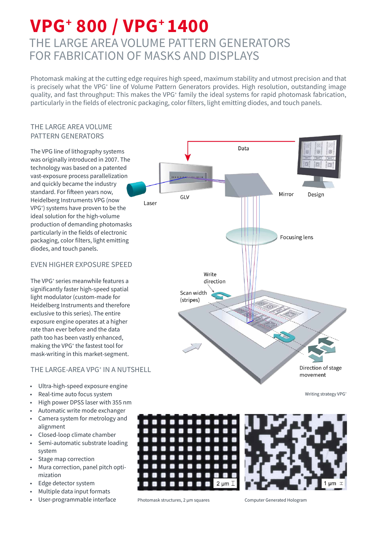### **VPG+ 800 / VPG+ 1400** THE LARGE AREA VOLUME PATTERN GENERATORS FOR FABRICATION OF MASKS AND DISPLAYS

Photomask making at the cutting edge requires high speed, maximum stability and utmost precision and that is precisely what the VPG<sup>+</sup> line of Volume Pattern Generators provides. High resolution, outstanding image quality, and fast throughput: This makes the VPG<sup>+</sup> family the ideal systems for rapid photomask fabrication, particularly in the fields of electronic packaging, color filters, light emitting diodes, and touch panels.

#### THE LARGE AREA VOLUME PATTERN GENERATORS

The VPG line of lithography systems was originally introduced in 2007. The technology was based on a patented vast-exposure process parallelization and quickly became the industry standard. For fifteen years now, Heidelberg Instruments VPG (now VPG+ ) systems have proven to be the ideal solution for the high-volume production of demanding photomasks particularly in the fields of electronic packaging, color filters, light emitting diodes, and touch panels.

#### EVEN HIGHER EXPOSURE SPEED

The VPG+ series meanwhile features a significantly faster high-speed spatial light modulator (custom-made for Heidelberg Instruments and therefore exclusive to this series). The entire exposure engine operates at a higher rate than ever before and the data path too has been vastly enhanced, making the VPG+ the fastest tool for mask-writing in this market-segment.

#### THE LARGE-AREA VPG+ IN A NUTSHELL

- Ultra-high-speed exposure engine
- Real-time auto focus system
- High power DPSS laser with 355 nm
- Automatic write mode exchanger
- Camera system for metrology and alignment
- Closed-loop climate chamber
- Semi-automatic substrate loading system
- Stage map correction
- Mura correction, panel pitch optimization
- Edge detector system
- Multiple data input formats
- User-programmable interface Photomask structures, 2 µm squares Computer Generated Hologram



Writing strategy VPG<sup>+</sup>



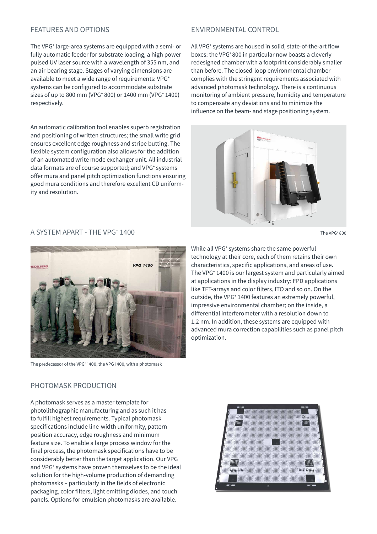#### FEATURES AND OPTIONS

The VPG+ large-area systems are equipped with a semi- or fully automatic feeder for substrate loading, a high power pulsed UV laser source with a wavelength of 355 nm, and an air-bearing stage. Stages of varying dimensions are available to meet a wide range of requirements: VPG<sup>+</sup> systems can be configured to accommodate substrate sizes of up to 800 mm (VPG+ 800) or 1400 mm (VPG+ 1400) respectively.

An automatic calibration tool enables superb registration and positioning of written structures; the small write grid ensures excellent edge roughness and stripe butting. The flexible system configuration also allows for the addition of an automated write mode exchanger unit. All industrial data formats are of course supported; and VPG<sup>+</sup> systems offer mura and panel pitch optimization functions ensuring good mura conditions and therefore excellent CD uniformity and resolution.

#### ENVIRONMENTAL CONTROL

All VPG+ systems are housed in solid, state-of-the-art flow boxes: the VPG+ 800 in particular now boasts a cleverly redesigned chamber with a footprint considerably smaller than before. The closed-loop environmental chamber complies with the stringent requirements associated with advanced photomask technology. There is a continuous monitoring of ambient pressure, humidity and temperature to compensate any deviations and to minimize the influence on the beam- and stage positioning system.



The VPG<sup>+</sup> 800



The predecessor of the VPG<sup>+</sup> 1400, the VPG 1400, with a photomask

While all VPG<sup>+</sup> systems share the same powerful technology at their core, each of them retains their own characteristics, specific applications, and areas of use. The VPG+ 1400 is our largest system and particularly aimed at applications in the display industry: FPD applications like TFT-arrays and color filters, ITO and so on. On the outside, the VPG+ 1400 features an extremely powerful, impressive environmental chamber; on the inside, a differential interferometer with a resolution down to 1.2 nm. In addition, these systems are equipped with advanced mura correction capabilities such as panel pitch optimization.

#### PHOTOMASK PRODUCTION

A photomask serves as a master template for photolithographic manufacturing and as such it has to fulfill highest requirements. Typical photomask specifications include line-width uniformity, pattern position accuracy, edge roughness and minimum feature size. To enable a large process window for the final process, the photomask specifications have to be considerably better than the target application. Our VPG and VPG<sup>+</sup> systems have proven themselves to be the ideal solution for the high-volume production of demanding photomasks – particularly in the fields of electronic packaging, color filters, light emitting diodes, and touch panels. Options for emulsion photomasks are available.



#### A SYSTEM APART - THE VPG+ 1400